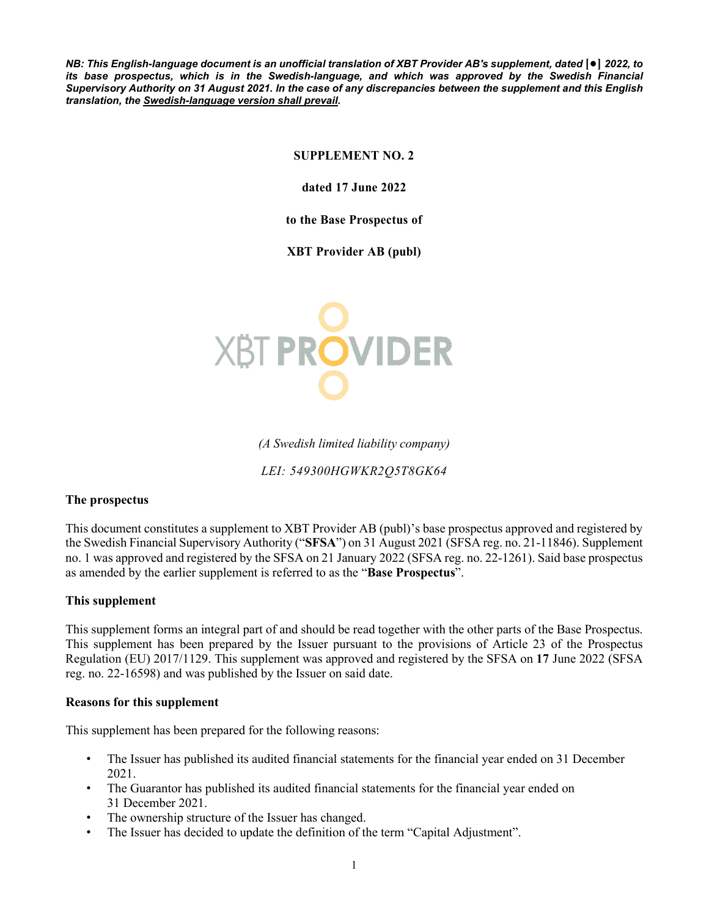*NB: This English-language document is an unofficial translation of XBT Provider AB's supplement, dated* **[●]** *2022, to its base prospectus, which is in the Swedish-language, and which was approved by the Swedish Financial Supervisory Authority on 31 August 2021. In the case of any discrepancies between the supplement and this English translation, the Swedish-language version shall prevail.*

# **SUPPLEMENT NO. 2**

**dated 17 June 2022**

**to the Base Prospectus of** 

**XBT Provider AB (publ)**



*(A Swedish limited liability company)*

*LEI: 549300HGWKR2Q5T8GK64*

### **The prospectus**

This document constitutes a supplement to XBT Provider AB (publ)'s base prospectus approved and registered by the Swedish Financial Supervisory Authority ("**SFSA**") on 31 August 2021 (SFSA reg. no. 21-11846). Supplement no. 1 was approved and registered by the SFSA on 21 January 2022 (SFSA reg. no. 22-1261). Said base prospectus as amended by the earlier supplement is referred to as the "**Base Prospectus**".

### **This supplement**

This supplement forms an integral part of and should be read together with the other parts of the Base Prospectus. This supplement has been prepared by the Issuer pursuant to the provisions of Article 23 of the Prospectus Regulation (EU) 2017/1129. This supplement was approved and registered by the SFSA on **17** June 2022 (SFSA reg. no. 22-16598) and was published by the Issuer on said date.

#### **Reasons for this supplement**

This supplement has been prepared for the following reasons:

- The Issuer has published its audited financial statements for the financial year ended on 31 December 2021.
- The Guarantor has published its audited financial statements for the financial year ended on 31 December 2021.
- The ownership structure of the Issuer has changed.
- The Issuer has decided to update the definition of the term "Capital Adjustment".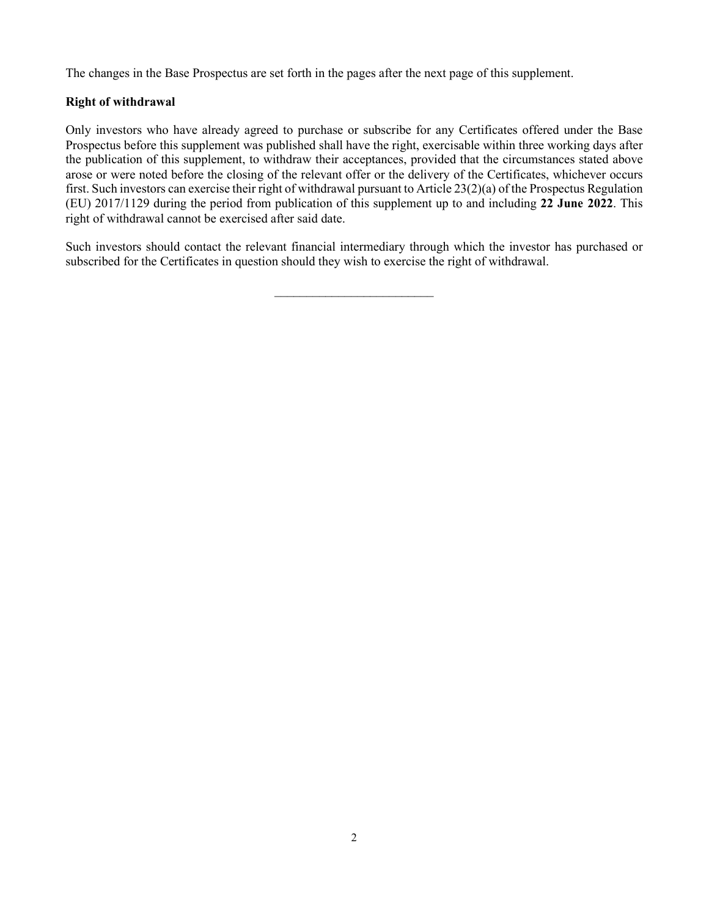The changes in the Base Prospectus are set forth in the pages after the next page of this supplement.

# **Right of withdrawal**

Only investors who have already agreed to purchase or subscribe for any Certificates offered under the Base Prospectus before this supplement was published shall have the right, exercisable within three working days after the publication of this supplement, to withdraw their acceptances, provided that the circumstances stated above arose or were noted before the closing of the relevant offer or the delivery of the Certificates, whichever occurs first. Such investors can exercise their right of withdrawal pursuant to Article 23(2)(a) of the Prospectus Regulation (EU) 2017/1129 during the period from publication of this supplement up to and including **22 June 2022**. This right of withdrawal cannot be exercised after said date.

Such investors should contact the relevant financial intermediary through which the investor has purchased or subscribed for the Certificates in question should they wish to exercise the right of withdrawal.

 $\mathcal{L}_\text{max}$  , where  $\mathcal{L}_\text{max}$  , we have the set of  $\mathcal{L}_\text{max}$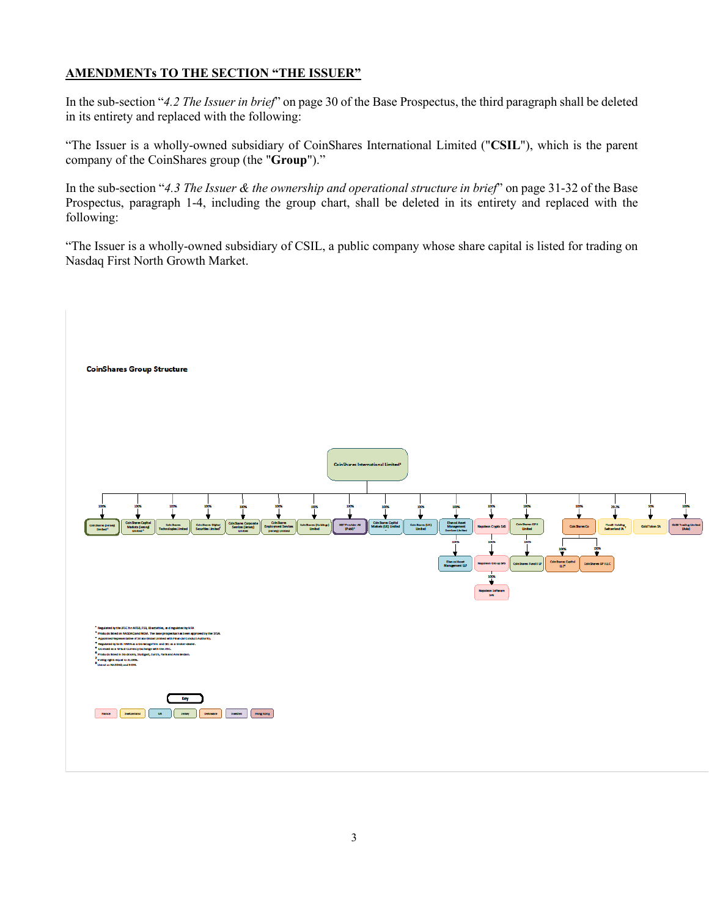# **AMENDMENTs TO THE SECTION "THE ISSUER"**

In the sub-section "*4.2 The Issuer in brief*" on page 30 of the Base Prospectus, the third paragraph shall be deleted in its entirety and replaced with the following:

"The Issuer is a wholly-owned subsidiary of CoinShares International Limited ("**CSIL**"), which is the parent company of the CoinShares group (the "**Group**")."

In the sub-section "*4.3 The Issuer & the ownership and operational structure in brief*" on page 31-32 of the Base Prospectus, paragraph 1-4, including the group chart, shall be deleted in its entirety and replaced with the following:

"The Issuer is a wholly-owned subsidiary of CSIL, a public company whose share capital is listed for trading on Nasdaq First North Growth Market.

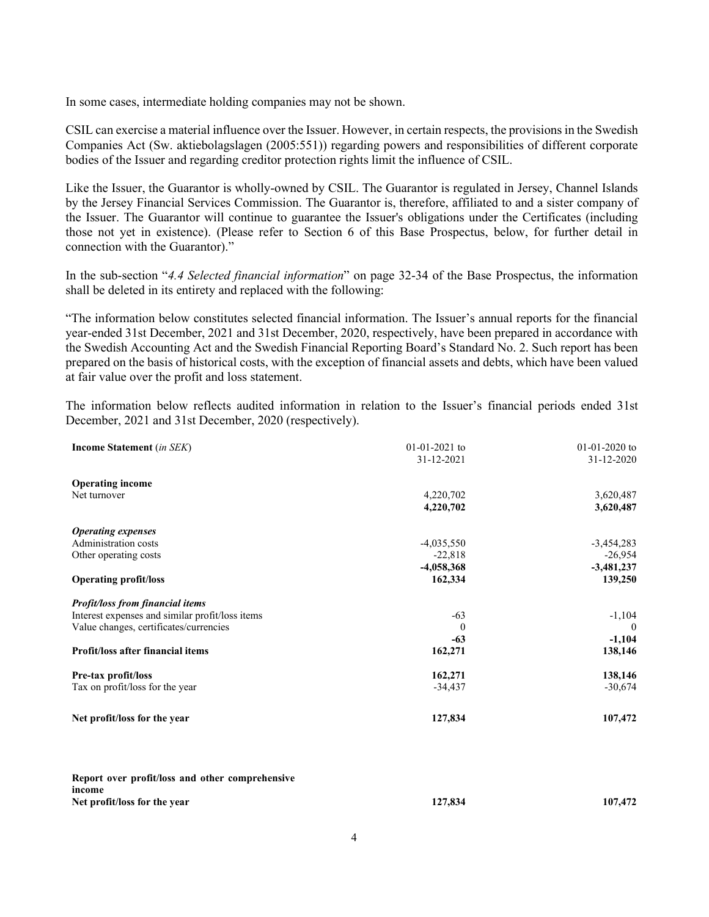In some cases, intermediate holding companies may not be shown.

CSIL can exercise a material influence over the Issuer. However, in certain respects, the provisions in the Swedish Companies Act (Sw. aktiebolagslagen (2005:551)) regarding powers and responsibilities of different corporate bodies of the Issuer and regarding creditor protection rights limit the influence of CSIL.

Like the Issuer, the Guarantor is wholly-owned by CSIL. The Guarantor is regulated in Jersey, Channel Islands by the Jersey Financial Services Commission. The Guarantor is, therefore, affiliated to and a sister company of the Issuer. The Guarantor will continue to guarantee the Issuer's obligations under the Certificates (including those not yet in existence). (Please refer to Section 6 of this Base Prospectus, below, for further detail in connection with the Guarantor)."

In the sub-section "*4.4 Selected financial information*" on page 32-34 of the Base Prospectus, the information shall be deleted in its entirety and replaced with the following:

"The information below constitutes selected financial information. The Issuer's annual reports for the financial year-ended 31st December, 2021 and 31st December, 2020, respectively, have been prepared in accordance with the Swedish Accounting Act and the Swedish Financial Reporting Board's Standard No. 2. Such report has been prepared on the basis of historical costs, with the exception of financial assets and debts, which have been valued at fair value over the profit and loss statement.

The information below reflects audited information in relation to the Issuer's financial periods ended 31st December, 2021 and 31st December, 2020 (respectively).

| <b>Income Statement</b> (in SEK)                | $01-01-2021$ to | $01-01-2020$ to |
|-------------------------------------------------|-----------------|-----------------|
|                                                 | 31-12-2021      | 31-12-2020      |
| <b>Operating income</b>                         |                 |                 |
| Net turnover                                    | 4,220,702       | 3,620,487       |
|                                                 | 4,220,702       | 3,620,487       |
| <b>Operating expenses</b>                       |                 |                 |
| Administration costs                            | $-4,035,550$    | $-3,454,283$    |
| Other operating costs                           | $-22,818$       | $-26,954$       |
|                                                 | $-4,058,368$    | $-3,481,237$    |
| <b>Operating profit/loss</b>                    | 162,334         | 139,250         |
| <b>Profit/loss from financial items</b>         |                 |                 |
| Interest expenses and similar profit/loss items | $-63$           | $-1,104$        |
| Value changes, certificates/currencies          | $\bf{0}$        | $\theta$        |
|                                                 | $-63$           | $-1,104$        |
| Profit/loss after financial items               | 162,271         | 138,146         |
| Pre-tax profit/loss                             | 162,271         | 138,146         |
| Tax on profit/loss for the year                 | $-34,437$       | $-30,674$       |
| Net profit/loss for the year                    | 127,834         | 107,472         |
|                                                 |                 |                 |

| Report over profit/loss and other comprehensive |         |         |
|-------------------------------------------------|---------|---------|
| income                                          |         |         |
| Net profit/loss for the year                    | 127,834 | 107,472 |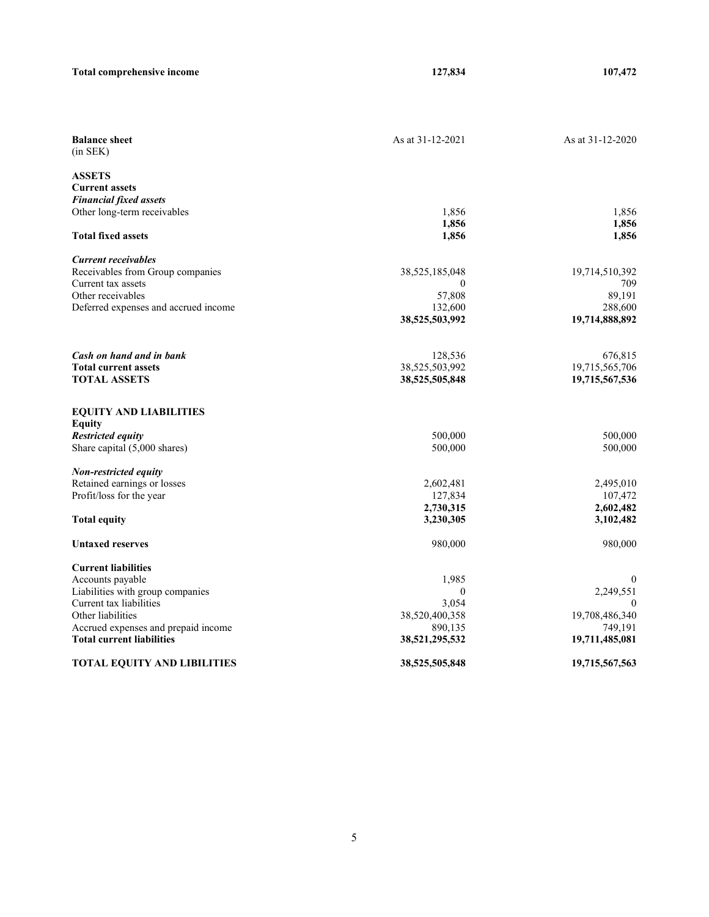| <b>Total comprehensive income</b>                                       | 127,834                   | 107,472                   |
|-------------------------------------------------------------------------|---------------------------|---------------------------|
|                                                                         |                           |                           |
| <b>Balance sheet</b><br>$(in$ SEK $)$                                   | As at 31-12-2021          | As at 31-12-2020          |
| <b>ASSETS</b><br><b>Current assets</b>                                  |                           |                           |
| <b>Financial fixed assets</b>                                           |                           |                           |
| Other long-term receivables                                             | 1,856                     | 1,856                     |
|                                                                         | 1,856                     | 1,856                     |
| <b>Total fixed assets</b>                                               | 1,856                     | 1,856                     |
| <b>Current receivables</b>                                              |                           |                           |
| Receivables from Group companies                                        | 38,525,185,048            | 19,714,510,392            |
| Current tax assets                                                      | $\mathbf{0}$              | 709                       |
| Other receivables                                                       | 57,808                    | 89,191                    |
| Deferred expenses and accrued income                                    | 132,600                   | 288,600                   |
|                                                                         | 38,525,503,992            | 19,714,888,892            |
| Cash on hand and in bank                                                | 128,536                   | 676,815                   |
| <b>Total current assets</b>                                             | 38,525,503,992            | 19,715,565,706            |
| <b>TOTAL ASSETS</b>                                                     | 38,525,505,848            | 19,715,567,536            |
| <b>EQUITY AND LIABILITIES</b>                                           |                           |                           |
| <b>Equity</b>                                                           |                           |                           |
| <b>Restricted equity</b>                                                | 500,000                   | 500,000                   |
| Share capital (5,000 shares)                                            | 500,000                   | 500,000                   |
| Non-restricted equity                                                   |                           |                           |
| Retained earnings or losses                                             | 2,602,481                 | 2,495,010                 |
| Profit/loss for the year                                                | 127,834                   | 107,472                   |
|                                                                         | 2,730,315                 | 2,602,482                 |
| <b>Total equity</b>                                                     | 3,230,305                 | 3,102,482                 |
| <b>Untaxed reserves</b>                                                 | 980,000                   | 980,000                   |
| <b>Current liabilities</b>                                              |                           |                           |
| Accounts payable                                                        | 1,985                     | $\bf{0}$                  |
| Liabilities with group companies                                        | $\mathbf{0}$              | 2,249,551                 |
| Current tax liabilities                                                 | 3,054                     |                           |
| Other liabilities                                                       | 38,520,400,358            | 19,708,486,340            |
| Accrued expenses and prepaid income<br><b>Total current liabilities</b> | 890,135<br>38,521,295,532 | 749,191<br>19,711,485,081 |
| <b>TOTAL EQUITY AND LIBILITIES</b>                                      | 38,525,505,848            | 19,715,567,563            |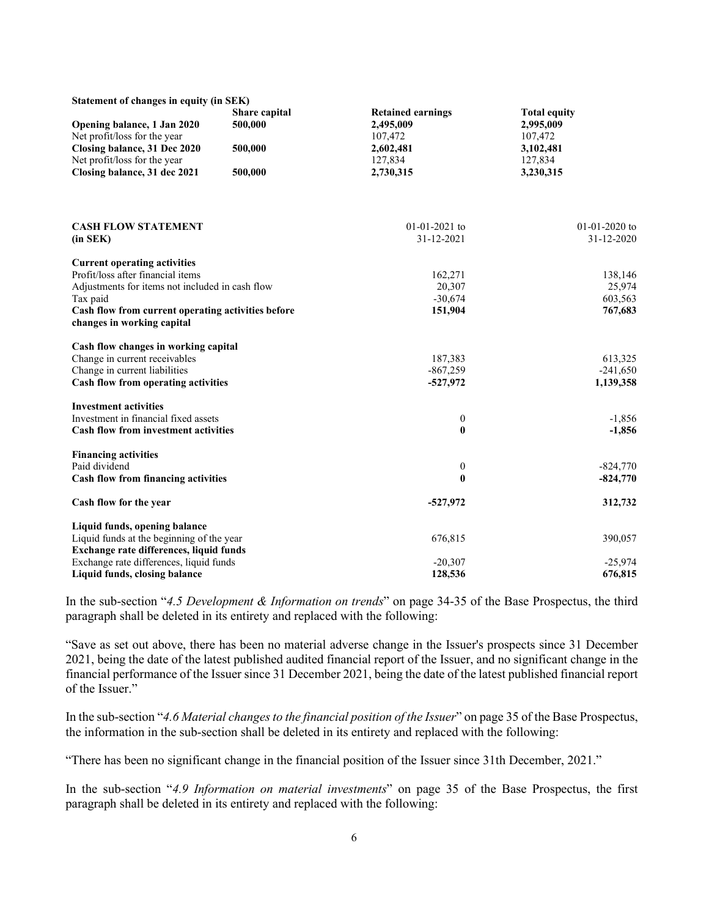| Statement of changes in equity (in SEK)                                          |                          |                                       |                                  |  |  |
|----------------------------------------------------------------------------------|--------------------------|---------------------------------------|----------------------------------|--|--|
| Opening balance, 1 Jan 2020                                                      | Share capital<br>500,000 | <b>Retained earnings</b><br>2,495,009 | <b>Total equity</b><br>2,995,009 |  |  |
| Net profit/loss for the year                                                     |                          | 107,472                               | 107,472                          |  |  |
| Closing balance, 31 Dec 2020                                                     | 500,000                  | 2,602,481                             | 3,102,481                        |  |  |
| Net profit/loss for the year                                                     |                          | 127,834                               | 127,834                          |  |  |
| Closing balance, 31 dec 2021                                                     | 500,000                  | 2,730,315                             | 3,230,315                        |  |  |
|                                                                                  |                          |                                       |                                  |  |  |
| <b>CASH FLOW STATEMENT</b>                                                       |                          | 01-01-2021 to                         | 01-01-2020 to                    |  |  |
| (in SEK)                                                                         |                          | 31-12-2021                            | 31-12-2020                       |  |  |
| <b>Current operating activities</b>                                              |                          |                                       |                                  |  |  |
| Profit/loss after financial items                                                |                          | 162,271                               | 138,146                          |  |  |
| Adjustments for items not included in cash flow                                  |                          | 20,307                                | 25,974                           |  |  |
| Tax paid                                                                         |                          | $-30,674$                             | 603,563                          |  |  |
| Cash flow from current operating activities before<br>changes in working capital |                          | 151,904                               | 767,683                          |  |  |
| Cash flow changes in working capital                                             |                          |                                       |                                  |  |  |
| Change in current receivables                                                    |                          | 187,383                               | 613,325                          |  |  |
| Change in current liabilities                                                    |                          | $-867,259$                            | $-241,650$                       |  |  |
| Cash flow from operating activities                                              |                          | $-527,972$                            | 1,139,358                        |  |  |
| <b>Investment activities</b>                                                     |                          |                                       |                                  |  |  |
| Investment in financial fixed assets                                             |                          | $\boldsymbol{0}$                      | $-1,856$                         |  |  |
| Cash flow from investment activities                                             |                          | $\bf{0}$                              | $-1,856$                         |  |  |
| <b>Financing activities</b>                                                      |                          |                                       |                                  |  |  |
| Paid dividend                                                                    |                          | $\boldsymbol{0}$                      | $-824,770$                       |  |  |
| Cash flow from financing activities                                              |                          | $\bf{0}$                              | $-824,770$                       |  |  |
| Cash flow for the year                                                           |                          | $-527,972$                            | 312,732                          |  |  |
| Liquid funds, opening balance                                                    |                          |                                       |                                  |  |  |
| Liquid funds at the beginning of the year                                        |                          | 676,815                               | 390,057                          |  |  |
| Exchange rate differences, liquid funds                                          |                          |                                       |                                  |  |  |
| Exchange rate differences, liquid funds                                          |                          | $-20,307$                             | $-25,974$                        |  |  |
| Liquid funds, closing balance                                                    |                          | 128,536                               | 676,815                          |  |  |

In the sub-section "*4.5 Development & Information on trends*" on page 34-35 of the Base Prospectus, the third paragraph shall be deleted in its entirety and replaced with the following:

"Save as set out above, there has been no material adverse change in the Issuer's prospects since 31 December 2021, being the date of the latest published audited financial report of the Issuer, and no significant change in the financial performance of the Issuer since 31 December 2021, being the date of the latest published financial report of the Issuer."

In the sub-section "*4.6 Material changes to the financial position of the Issuer*" on page 35 of the Base Prospectus, the information in the sub-section shall be deleted in its entirety and replaced with the following:

"There has been no significant change in the financial position of the Issuer since 31th December, 2021."

In the sub-section "*4.9 Information on material investments*" on page 35 of the Base Prospectus, the first paragraph shall be deleted in its entirety and replaced with the following: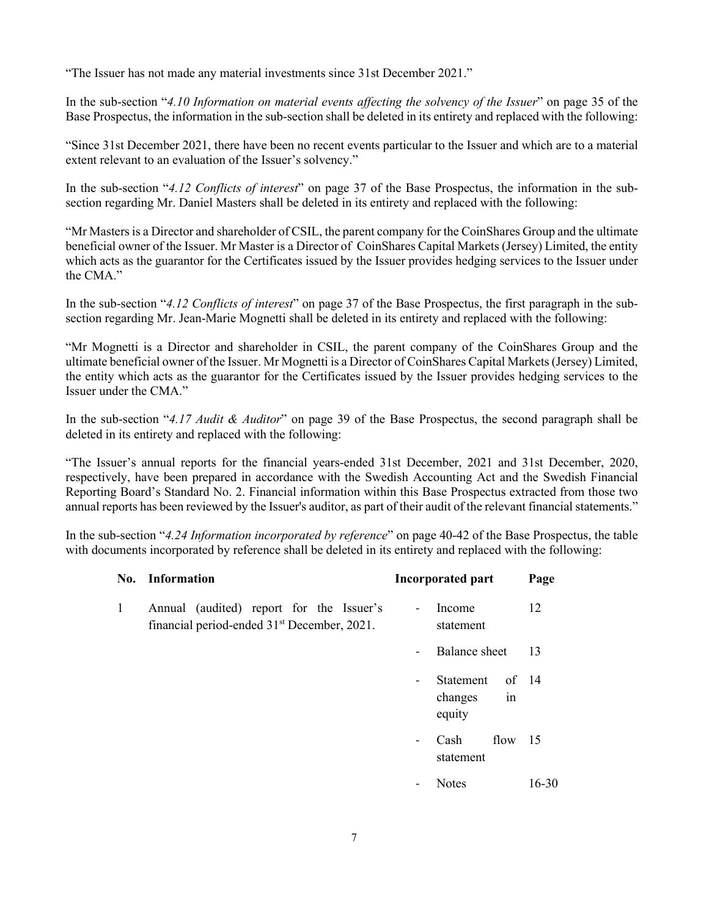"The Issuer has not made any material investments since 31st December 2021."

In the sub-section "*4.10 Information on material events affecting the solvency of the Issuer*" on page 35 of the Base Prospectus, the information in the sub-section shall be deleted in its entirety and replaced with the following:

"Since 31st December 2021, there have been no recent events particular to the Issuer and which are to a material extent relevant to an evaluation of the Issuer's solvency."

In the sub-section "*4.12 Conflicts of interest*" on page 37 of the Base Prospectus, the information in the subsection regarding Mr. Daniel Masters shall be deleted in its entirety and replaced with the following:

"Mr Masters is a Director and shareholder of CSIL, the parent company for the CoinShares Group and the ultimate beneficial owner of the Issuer. Mr Master is a Director of CoinShares Capital Markets (Jersey) Limited, the entity which acts as the guarantor for the Certificates issued by the Issuer provides hedging services to the Issuer under the CMA."

In the sub-section "*4.12 Conflicts of interest*" on page 37 of the Base Prospectus, the first paragraph in the subsection regarding Mr. Jean-Marie Mognetti shall be deleted in its entirety and replaced with the following:

"Mr Mognetti is a Director and shareholder in CSIL, the parent company of the CoinShares Group and the ultimate beneficial owner of the Issuer. Mr Mognetti is a Director of CoinShares Capital Markets (Jersey) Limited, the entity which acts as the guarantor for the Certificates issued by the Issuer provides hedging services to the Issuer under the CMA."

In the sub-section "*4.17 Audit & Auditor*" on page 39 of the Base Prospectus, the second paragraph shall be deleted in its entirety and replaced with the following:

"The Issuer's annual reports for the financial years-ended 31st December, 2021 and 31st December, 2020, respectively, have been prepared in accordance with the Swedish Accounting Act and the Swedish Financial Reporting Board's Standard No. 2. Financial information within this Base Prospectus extracted from those two annual reports has been reviewed by the Issuer's auditor, as part of their audit of the relevant financial statements."

In the sub-section "*4.24 Information incorporated by reference*" on page 40-42 of the Base Prospectus, the table with documents incorporated by reference shall be deleted in its entirety and replaced with the following:

|   | No. Information                                                                                     | Incorporated part                                                | Page  |
|---|-----------------------------------------------------------------------------------------------------|------------------------------------------------------------------|-------|
| 1 | Annual (audited) report for the Issuer's<br>financial period-ended 31 <sup>st</sup> December, 2021. | Income<br>$\overline{\phantom{a}}$<br>statement                  | 12    |
|   |                                                                                                     | Balance sheet                                                    | 13    |
|   |                                                                                                     | Statement<br>$\overline{\phantom{0}}$<br>in<br>changes<br>equity | of 14 |
|   |                                                                                                     | flow<br>Cash<br>statement                                        | - 15  |
|   |                                                                                                     | <b>Notes</b>                                                     | 16-30 |
|   |                                                                                                     |                                                                  |       |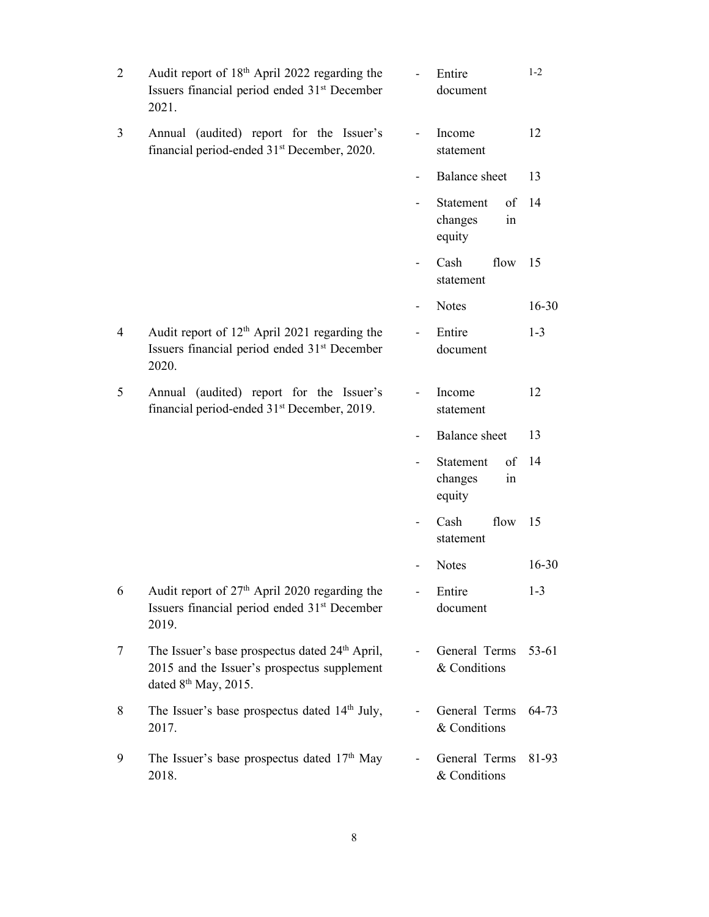| $\overline{2}$ | Audit report of 18 <sup>th</sup> April 2022 regarding the<br>Issuers financial period ended 31 <sup>st</sup> December<br>2021.                |                          | Entire<br>document                         | $1 - 2$   |
|----------------|-----------------------------------------------------------------------------------------------------------------------------------------------|--------------------------|--------------------------------------------|-----------|
| 3              | Annual (audited) report for the Issuer's<br>financial period-ended 31 <sup>st</sup> December, 2020.                                           | $\overline{\phantom{0}}$ | Income<br>statement                        | 12        |
|                |                                                                                                                                               |                          | <b>Balance</b> sheet                       | 13        |
|                |                                                                                                                                               |                          | Statement<br>of<br>changes<br>1n<br>equity | 14        |
|                |                                                                                                                                               |                          | Cash<br>flow<br>statement                  | 15        |
|                |                                                                                                                                               |                          | <b>Notes</b>                               | $16 - 30$ |
| $\overline{4}$ | Audit report of 12 <sup>th</sup> April 2021 regarding the<br>Issuers financial period ended 31 <sup>st</sup> December<br>2020.                |                          | Entire<br>document                         | $1 - 3$   |
| 5              | Annual (audited) report for the Issuer's<br>financial period-ended 31 <sup>st</sup> December, 2019.                                           |                          | Income<br>statement                        | 12        |
|                |                                                                                                                                               |                          | <b>Balance</b> sheet                       | 13        |
|                |                                                                                                                                               |                          | Statement<br>of<br>changes<br>in<br>equity | 14        |
|                |                                                                                                                                               |                          | Cash<br>flow<br>statement                  | 15        |
|                |                                                                                                                                               |                          | <b>Notes</b>                               | 16-30     |
| 6              | Audit report of 27 <sup>th</sup> April 2020 regarding the<br>Issuers financial period ended 31 <sup>st</sup> December<br>2019.                |                          | Entire<br>document                         | $1 - 3$   |
| 7              | The Issuer's base prospectus dated 24 <sup>th</sup> April,<br>2015 and the Issuer's prospectus supplement<br>dated 8 <sup>th</sup> May, 2015. |                          | General Terms<br>& Conditions              | 53-61     |
| 8              | The Issuer's base prospectus dated 14 <sup>th</sup> July,<br>2017.                                                                            |                          | General Terms<br>& Conditions              | 64-73     |
| 9              | The Issuer's base prospectus dated $17th$ May<br>2018.                                                                                        |                          | General Terms<br>& Conditions              | 81-93     |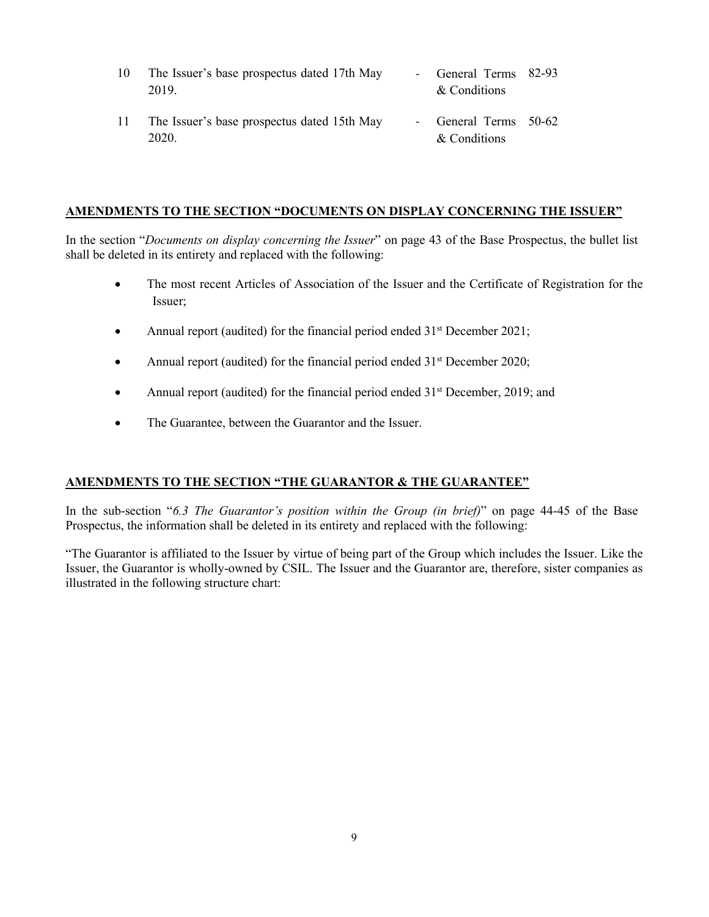| 10 | The Issuer's base prospectus dated 17th May | - General Terms 82-93 |  |
|----|---------------------------------------------|-----------------------|--|
|    | 2019.                                       | & Conditions          |  |
|    |                                             |                       |  |

11 The Issuer's base prospectus dated 15th May 2020. - General Terms 50-62 & Conditions

#### **AMENDMENTS TO THE SECTION "DOCUMENTS ON DISPLAY CONCERNING THE ISSUER"**

In the section "*Documents on display concerning the Issuer*" on page 43 of the Base Prospectus, the bullet list shall be deleted in its entirety and replaced with the following:

- The most recent Articles of Association of the Issuer and the Certificate of Registration for the Issuer;
- Annual report (audited) for the financial period ended  $31<sup>st</sup>$  December 2021;
- Annual report (audited) for the financial period ended 31<sup>st</sup> December 2020;
- Annual report (audited) for the financial period ended 31<sup>st</sup> December, 2019; and
- The Guarantee, between the Guarantor and the Issuer.

### **AMENDMENTS TO THE SECTION "THE GUARANTOR & THE GUARANTEE"**

In the sub-section "*6.3 The Guarantor's position within the Group (in brief)*" on page 44-45 of the Base Prospectus, the information shall be deleted in its entirety and replaced with the following:

"The Guarantor is affiliated to the Issuer by virtue of being part of the Group which includes the Issuer. Like the Issuer, the Guarantor is wholly-owned by CSIL. The Issuer and the Guarantor are, therefore, sister companies as illustrated in the following structure chart: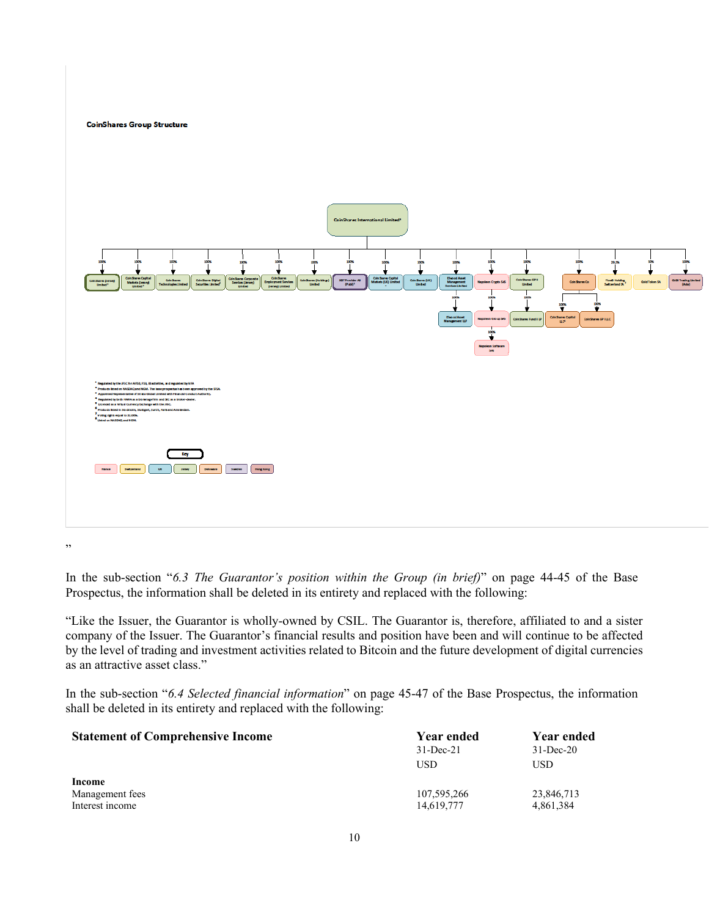**CoinShares Group Structure** 



,,

In the sub-section "*6.3 The Guarantor's position within the Group (in brief)*" on page 44-45 of the Base Prospectus, the information shall be deleted in its entirety and replaced with the following:

"Like the Issuer, the Guarantor is wholly-owned by CSIL. The Guarantor is, therefore, affiliated to and a sister company of the Issuer. The Guarantor's financial results and position have been and will continue to be affected by the level of trading and investment activities related to Bitcoin and the future development of digital currencies as an attractive asset class."

In the sub-section "*6.4 Selected financial information*" on page 45-47 of the Base Prospectus, the information shall be deleted in its entirety and replaced with the following:

| <b>Statement of Comprehensive Income</b>     | Year ended<br>$31$ -Dec-21<br>USD | Year ended<br>$31 - Dec-20$<br>USD |
|----------------------------------------------|-----------------------------------|------------------------------------|
| Income<br>Management fees<br>Interest income | 107,595,266<br>14,619,777         | 23,846,713<br>4,861,384            |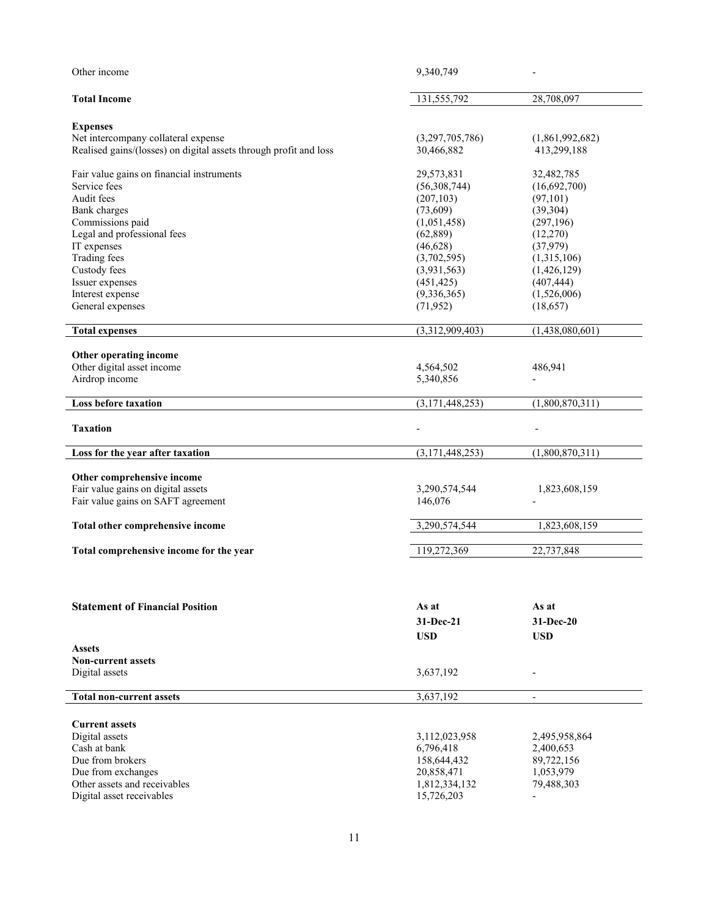| Other income                                                                                             | 9,340,749                     |                                |
|----------------------------------------------------------------------------------------------------------|-------------------------------|--------------------------------|
| <b>Total Income</b>                                                                                      | 131,555,792                   | 28,708,097                     |
| <b>Expenses</b>                                                                                          |                               |                                |
| Net intercompany collateral expense<br>Realised gains/(losses) on digital assets through profit and loss | (3,297,705,786)<br>30,466,882 | (1,861,992,682)<br>413,299,188 |
| Fair value gains on financial instruments                                                                | 29,573,831                    | 32,482,785                     |
| Service fees                                                                                             | (56,308,744)                  | (16,692,700)                   |
| Audit fees                                                                                               | (207, 103)                    | (97,101)                       |
| Bank charges                                                                                             | (73,609)                      | (39,304)                       |
| Commissions paid                                                                                         | (1,051,458)                   | (297, 196)                     |
| Legal and professional fees<br>IT expenses                                                               | (62, 889)<br>(46,628)         | (12,270)<br>(37,979)           |
| <b>Trading fees</b>                                                                                      | (3,702,595)                   | (1,315,106)                    |
| Custody fees                                                                                             | (3,931,563)                   | (1,426,129)                    |
| Issuer expenses                                                                                          | (451, 425)                    | (407, 444)                     |
| Interest expense                                                                                         | (9,336,365)                   | (1,526,006)                    |
| General expenses                                                                                         | (71, 952)                     | (18,657)                       |
|                                                                                                          |                               |                                |
| <b>Total expenses</b>                                                                                    | (3,312,909,403)               | (1,438,080,601)                |
| Other operating income                                                                                   |                               |                                |
| Other digital asset income                                                                               | 4,564,502                     | 486,941                        |
| Airdrop income                                                                                           | 5,340,856                     |                                |
|                                                                                                          |                               |                                |
| Loss before taxation                                                                                     | (3,171,448,253)               | (1,800,870,311)                |
| <b>Taxation</b>                                                                                          |                               |                                |
| Loss for the year after taxation                                                                         | (3,171,448,253)               | (1,800,870,311)                |
| Other comprehensive income                                                                               |                               |                                |
| Fair value gains on digital assets                                                                       | 3,290,574,544                 | 1,823,608,159                  |
| Fair value gains on SAFT agreement                                                                       | 146,076                       |                                |
|                                                                                                          |                               |                                |
| Total other comprehensive income                                                                         | 3,290,574,544                 | 1,823,608,159                  |
| Total comprehensive income for the year                                                                  | 119,272,369                   | 22,737,848                     |
|                                                                                                          |                               |                                |
| <b>Statement of Financial Position</b>                                                                   | As at                         | As at                          |
|                                                                                                          |                               |                                |
|                                                                                                          | 31-Dec-21                     | 31-Dec-20                      |
|                                                                                                          | <b>USD</b>                    | <b>USD</b>                     |
| <b>Assets</b>                                                                                            |                               |                                |
| <b>Non-current assets</b>                                                                                |                               |                                |
| Digital assets                                                                                           | 3,637,192                     |                                |
| <b>Total non-current assets</b>                                                                          | 3,637,192                     | $\overline{\phantom{a}}$       |
|                                                                                                          |                               |                                |
| <b>Current assets</b>                                                                                    |                               |                                |
| Digital assets                                                                                           | 3,112,023,958                 | 2,495,958,864                  |
| Cash at bank                                                                                             | 6,796,418                     | 2,400,653                      |
| Due from brokers                                                                                         | 158,644,432                   | 89,722,156                     |
| Due from exchanges                                                                                       | 20,858,471                    | 1,053,979                      |
| Other assets and receivables                                                                             | 1,812,334,132                 | 79,488,303                     |
| Digital asset receivables                                                                                | 15,726,203                    |                                |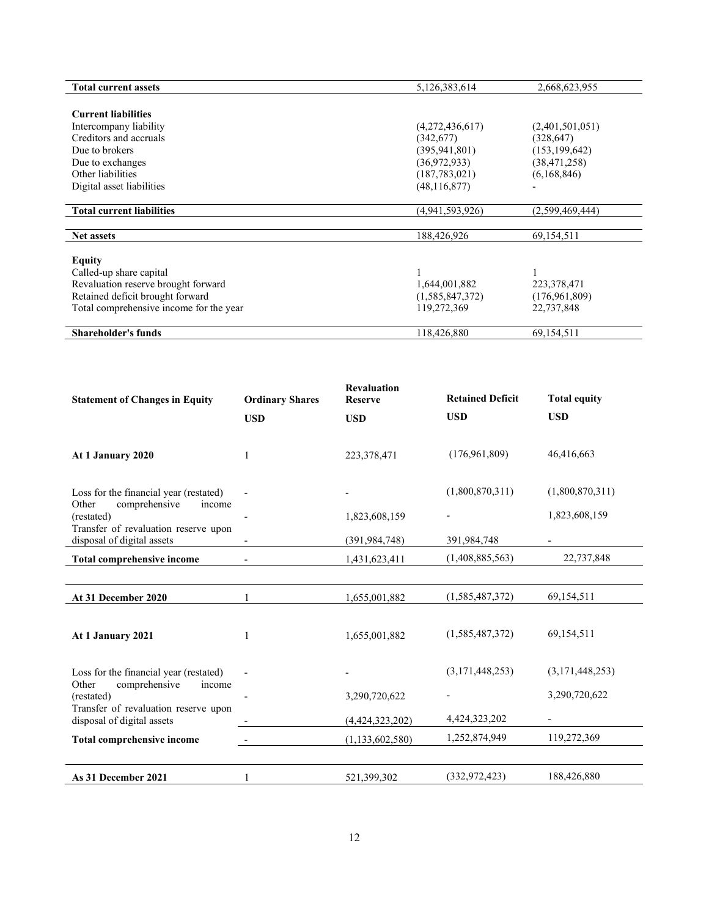| <b>Total current assets</b>             | 5,126,383,614   | 2,668,623,955   |
|-----------------------------------------|-----------------|-----------------|
|                                         |                 |                 |
| <b>Current liabilities</b>              |                 |                 |
| Intercompany liability                  | (4,272,436,617) | (2,401,501,051) |
| Creditors and accruals                  | (342,677)       | (328, 647)      |
| Due to brokers                          | (395, 941, 801) | (153, 199, 642) |
| Due to exchanges                        | (36,972,933)    | (38, 471, 258)  |
| Other liabilities                       | (187, 783, 021) | (6,168,846)     |
| Digital asset liabilities               | (48, 116, 877)  |                 |
|                                         |                 |                 |
| <b>Total current liabilities</b>        | (4,941,593,926) | (2,599,469,444) |
|                                         |                 |                 |
| <b>Net assets</b>                       | 188,426,926     | 69,154,511      |
|                                         |                 |                 |
| <b>Equity</b>                           |                 |                 |
| Called-up share capital                 |                 |                 |
| Revaluation reserve brought forward     | 1,644,001,882   | 223,378,471     |
| Retained deficit brought forward        | (1,585,847,372) | (176,961,809)   |
| Total comprehensive income for the year | 119,272,369     | 22,737,848      |
|                                         |                 |                 |
| <b>Shareholder's funds</b>              | 118,426,880     | 69,154,511      |

| <b>Statement of Changes in Equity</b>                              | <b>Ordinary Shares</b>   | <b>Revaluation</b><br><b>Reserve</b> | <b>Retained Deficit</b> | <b>Total equity</b>      |
|--------------------------------------------------------------------|--------------------------|--------------------------------------|-------------------------|--------------------------|
|                                                                    | <b>USD</b>               | <b>USD</b>                           | <b>USD</b>              | <b>USD</b>               |
| At 1 January 2020                                                  | 1                        | 223,378,471                          | (176,961,809)           | 46,416,663               |
| Loss for the financial year (restated)                             |                          |                                      | (1,800,870,311)         | (1,800,870,311)          |
| comprehensive<br>Other<br>income<br>(restated)                     |                          | 1,823,608,159                        |                         | 1,823,608,159            |
| Transfer of revaluation reserve upon<br>disposal of digital assets | $\overline{\phantom{a}}$ | (391, 984, 748)                      | 391,984,748             | $\overline{\phantom{a}}$ |
| <b>Total comprehensive income</b>                                  |                          | 1,431,623,411                        | (1,408,885,563)         | 22,737,848               |
|                                                                    |                          |                                      |                         |                          |
| At 31 December 2020                                                | 1                        | 1,655,001,882                        | (1,585,487,372)         | 69,154,511               |
| At 1 January 2021                                                  | 1                        | 1,655,001,882                        | (1,585,487,372)         | 69,154,511               |
| Loss for the financial year (restated)                             |                          |                                      | (3,171,448,253)         | (3,171,448,253)          |
| comprehensive<br>Other<br>income<br>(restated)                     |                          | 3,290,720,622                        |                         | 3,290,720,622            |
| Transfer of revaluation reserve upon<br>disposal of digital assets |                          | (4,424,323,202)                      | 4,424,323,202           | $\overline{\phantom{a}}$ |
| Total comprehensive income                                         |                          | (1, 133, 602, 580)                   | 1,252,874,949           | 119,272,369              |
|                                                                    |                          |                                      |                         |                          |
| As 31 December 2021                                                |                          | 521,399,302                          | (332, 972, 423)         | 188,426,880              |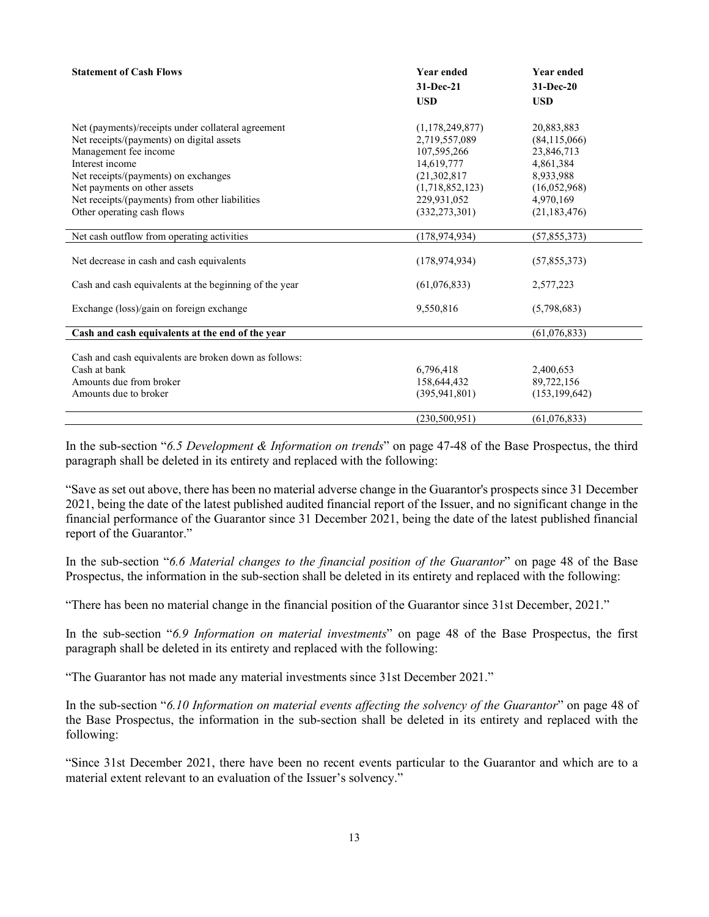| <b>Statement of Cash Flows</b>                         | <b>Year ended</b> | <b>Year ended</b> |
|--------------------------------------------------------|-------------------|-------------------|
|                                                        | 31-Dec-21         | 31-Dec-20         |
|                                                        | <b>USD</b>        | <b>USD</b>        |
| Net (payments)/receipts under collateral agreement     | (1,178,249,877)   | 20,883,883        |
| Net receipts/(payments) on digital assets              | 2,719,557,089     | (84, 115, 066)    |
| Management fee income                                  | 107,595,266       | 23,846,713        |
| Interest income                                        | 14,619,777        | 4,861,384         |
| Net receipts/(payments) on exchanges                   | (21, 302, 817)    | 8,933,988         |
| Net payments on other assets                           | (1,718,852,123)   | (16,052,968)      |
| Net receipts/(payments) from other liabilities         | 229,931,052       | 4,970,169         |
| Other operating cash flows                             | (332, 273, 301)   | (21, 183, 476)    |
| Net cash outflow from operating activities             | (178, 974, 934)   | (57, 855, 373)    |
| Net decrease in cash and cash equivalents              | (178, 974, 934)   | (57,855,373)      |
| Cash and cash equivalents at the beginning of the year | (61,076,833)      | 2,577,223         |
| Exchange (loss)/gain on foreign exchange               | 9,550,816         | (5,798,683)       |
| Cash and cash equivalents at the end of the year       |                   | (61, 076, 833)    |
| Cash and cash equivalents are broken down as follows:  |                   |                   |
| Cash at bank                                           | 6,796,418         | 2,400,653         |
| Amounts due from broker                                | 158,644,432       | 89,722,156        |
| Amounts due to broker                                  | (395, 941, 801)   | (153, 199, 642)   |
|                                                        | (230, 500, 951)   | (61,076,833)      |

In the sub-section "*6.5 Development & Information on trends*" on page 47-48 of the Base Prospectus, the third paragraph shall be deleted in its entirety and replaced with the following:

"Save as set out above, there has been no material adverse change in the Guarantor's prospects since 31 December 2021, being the date of the latest published audited financial report of the Issuer, and no significant change in the financial performance of the Guarantor since 31 December 2021, being the date of the latest published financial report of the Guarantor."

In the sub-section "*6.6 Material changes to the financial position of the Guarantor*" on page 48 of the Base Prospectus, the information in the sub-section shall be deleted in its entirety and replaced with the following:

"There has been no material change in the financial position of the Guarantor since 31st December, 2021."

In the sub-section "*6.9 Information on material investments*" on page 48 of the Base Prospectus, the first paragraph shall be deleted in its entirety and replaced with the following:

"The Guarantor has not made any material investments since 31st December 2021."

In the sub-section "*6.10 Information on material events affecting the solvency of the Guarantor*" on page 48 of the Base Prospectus, the information in the sub-section shall be deleted in its entirety and replaced with the following:

"Since 31st December 2021, there have been no recent events particular to the Guarantor and which are to a material extent relevant to an evaluation of the Issuer's solvency."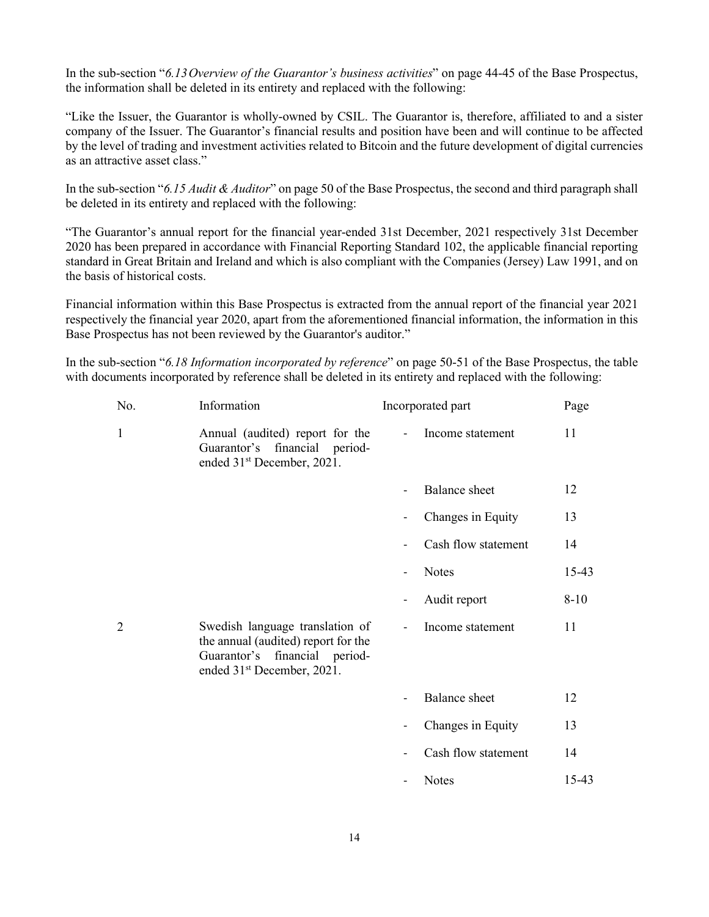In the sub-section "*6.13Overview of the Guarantor's business activities*" on page 44-45 of the Base Prospectus, the information shall be deleted in its entirety and replaced with the following:

"Like the Issuer, the Guarantor is wholly-owned by CSIL. The Guarantor is, therefore, affiliated to and a sister company of the Issuer. The Guarantor's financial results and position have been and will continue to be affected by the level of trading and investment activities related to Bitcoin and the future development of digital currencies as an attractive asset class."

In the sub-section "*6.15 Audit & Auditor*" on page 50 of the Base Prospectus, the second and third paragraph shall be deleted in its entirety and replaced with the following:

"The Guarantor's annual report for the financial year-ended 31st December, 2021 respectively 31st December 2020 has been prepared in accordance with Financial Reporting Standard 102, the applicable financial reporting standard in Great Britain and Ireland and which is also compliant with the Companies (Jersey) Law 1991, and on the basis of historical costs.

Financial information within this Base Prospectus is extracted from the annual report of the financial year 2021 respectively the financial year 2020, apart from the aforementioned financial information, the information in this Base Prospectus has not been reviewed by the Guarantor's auditor."

In the sub-section "*6.18 Information incorporated by reference*" on page 50-51 of the Base Prospectus, the table with documents incorporated by reference shall be deleted in its entirety and replaced with the following:

| No.            | Information                                                                                                                                       |                          | Incorporated part    | Page     |
|----------------|---------------------------------------------------------------------------------------------------------------------------------------------------|--------------------------|----------------------|----------|
| 1              | Annual (audited) report for the<br>Guarantor's financial period-<br>ended 31 <sup>st</sup> December, 2021.                                        | $\overline{\phantom{a}}$ | Income statement     | 11       |
|                |                                                                                                                                                   | $\overline{\phantom{a}}$ | <b>Balance</b> sheet | 12       |
|                |                                                                                                                                                   | $\overline{\phantom{0}}$ | Changes in Equity    | 13       |
|                |                                                                                                                                                   |                          | Cash flow statement  | 14       |
|                |                                                                                                                                                   | $\overline{\phantom{a}}$ | <b>Notes</b>         | $15-43$  |
|                |                                                                                                                                                   | $\overline{\phantom{a}}$ | Audit report         | $8 - 10$ |
| $\overline{2}$ | Swedish language translation of<br>the annual (audited) report for the<br>Guarantor's financial period-<br>ended 31 <sup>st</sup> December, 2021. | $\overline{\phantom{a}}$ | Income statement     | 11       |
|                |                                                                                                                                                   |                          | <b>Balance</b> sheet | 12       |
|                |                                                                                                                                                   | -                        | Changes in Equity    | 13       |
|                |                                                                                                                                                   |                          | Cash flow statement  | 14       |
|                |                                                                                                                                                   |                          | <b>Notes</b>         | 15-43    |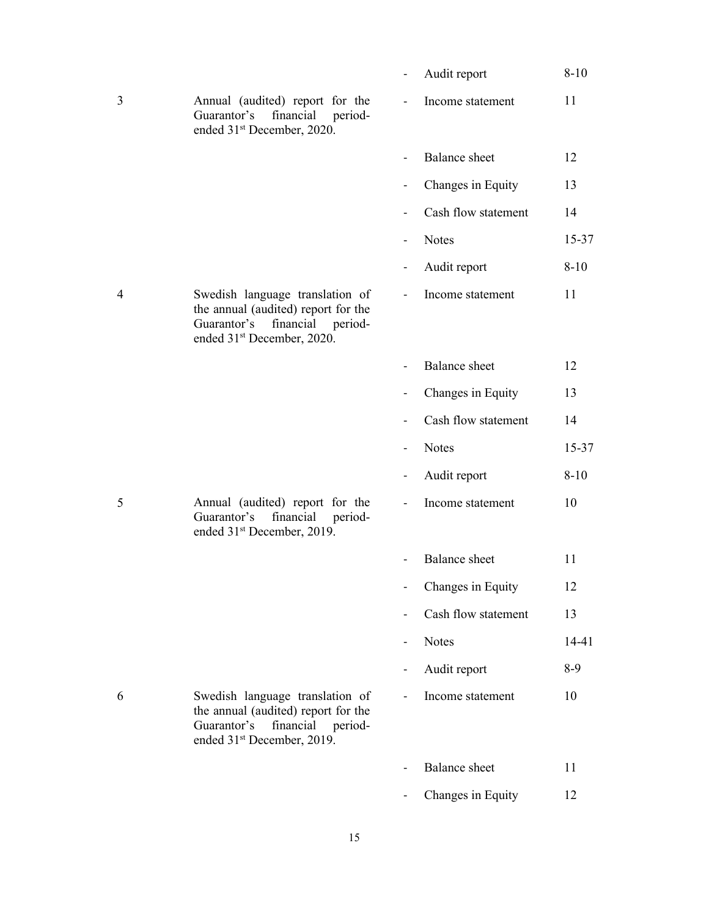|   |                                                                                                                                                         | Audit report         | $8 - 10$  |
|---|---------------------------------------------------------------------------------------------------------------------------------------------------------|----------------------|-----------|
| 3 | Annual (audited) report for the<br>Guarantor's<br>financial<br>period-<br>ended 31 <sup>st</sup> December, 2020.                                        | Income statement     | 11        |
|   |                                                                                                                                                         | <b>Balance</b> sheet | 12        |
|   |                                                                                                                                                         | Changes in Equity    | 13        |
|   |                                                                                                                                                         | Cash flow statement  | 14        |
|   |                                                                                                                                                         | <b>Notes</b>         | $15 - 37$ |
|   |                                                                                                                                                         | Audit report         | $8 - 10$  |
| 4 | Swedish language translation of<br>the annual (audited) report for the<br>Guarantor's financial<br>period-<br>ended 31 <sup>st</sup> December, 2020.    | Income statement     | 11        |
|   |                                                                                                                                                         | <b>Balance</b> sheet | 12        |
|   |                                                                                                                                                         | Changes in Equity    | 13        |
|   |                                                                                                                                                         | Cash flow statement  | 14        |
|   |                                                                                                                                                         | <b>Notes</b>         | 15-37     |
|   |                                                                                                                                                         |                      |           |
|   |                                                                                                                                                         | Audit report         | $8 - 10$  |
| 5 | Annual (audited) report for the<br>Guarantor's financial<br>period-<br>ended 31 <sup>st</sup> December, 2019.                                           | Income statement     | 10        |
|   |                                                                                                                                                         | <b>Balance</b> sheet | 11        |
|   |                                                                                                                                                         | Changes in Equity    | 12        |
|   |                                                                                                                                                         | Cash flow statement  | 13        |
|   |                                                                                                                                                         | <b>Notes</b>         | 14-41     |
|   |                                                                                                                                                         | Audit report         | $8-9$     |
| 6 | Swedish language translation of<br>the annual (audited) report for the<br>financial<br>Guarantor's<br>period-<br>ended 31 <sup>st</sup> December, 2019. | Income statement     | 10        |
|   |                                                                                                                                                         | <b>Balance</b> sheet | 11        |